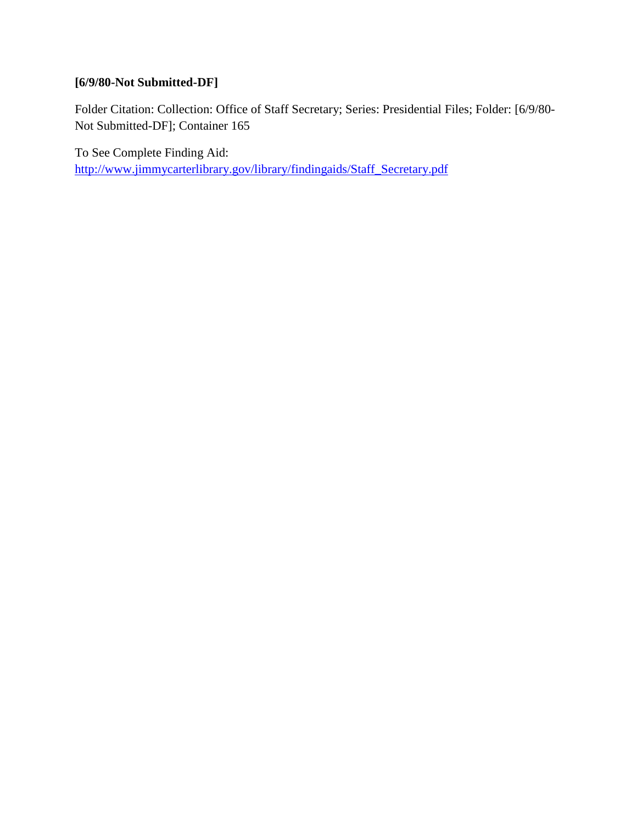# **[6/9/80-Not Submitted-DF]**

Folder Citation: Collection: Office of Staff Secretary; Series: Presidential Files; Folder: [6/9/80- Not Submitted-DF]; Container 165

To See Complete Finding Aid: [http://www.jimmycarterlibrary.gov/library/findingaids/Staff\\_Secretary.pdf](http://www.jimmycarterlibrary.gov/library/findingaids/Staff_Secretary.pdf)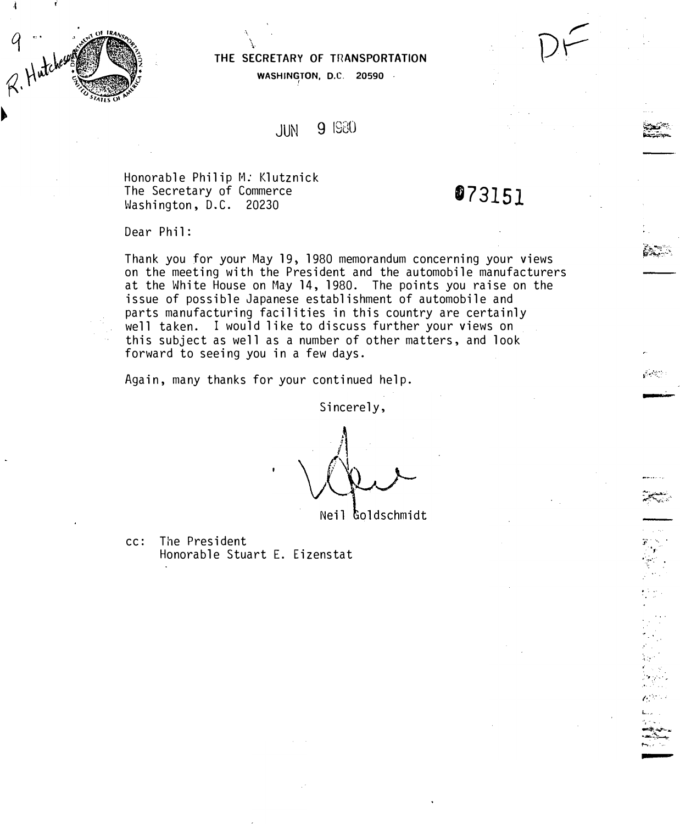

-I

|  | THE SECRETARY OF TRANSPORTATION |
|--|---------------------------------|
|  |                                 |

WASHINGTON, D.C. 20590  $\cdot$ 

### JUN 9 1930

Honorable Philip M. Klutznick The Secretary of Commerce Washington, D.C. 20230

\.

# 073151

**-**

 $\mathcal{G}(\mathcal{A},\mathcal{G})$ 

 $\ddot{\textbf{r}}$  . ··,.·· . . ·

..

 $\mathbb{C}^{\times}_\mathbb{C}$ 

.• ..

L ...  $\cdot\cdot\cdot$  .  $-++$ -<br>چاپ د 1'-r·r •

Dear Phil:

Thank you for your May 19, 1980 memorandum concerning your views on the meeting with the President and the automobile manufacturers at the White House on May 14, 1980. The points you raise on the issue of possible Japanese establishment of automobile and parts manufacturing facilities in this country are certainly well taken. I would like to discuss further your views on this subject as well as a number of other matters, and look forward to seeing you in a few days.

Again, many thanks for your continued help.

Sincerely,

 $\Lambda$ 

Neil Goldschmidt

cc: The President Honorable Stuart E. Eizenstat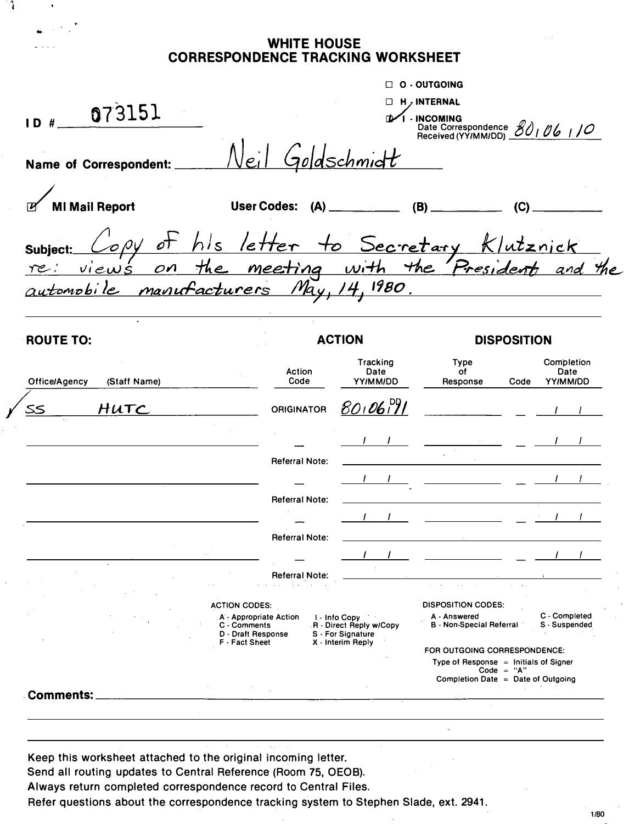#### **WHITE HOUSE CORRESPONDENCE TRACKING WORKSHEET**

Ĵ.

| 073151<br>$ID$ #                                                                                          |                                                                                       |                       |                                                                 | O - OUTGOING<br><b>H</b> , INTERNAL<br>I - INCOMING                                                                                                                                                                                                                                           | Date Correspondence 80106110                                                                                                                                                                                                                                                                                                                                                                                                                   |  |
|-----------------------------------------------------------------------------------------------------------|---------------------------------------------------------------------------------------|-----------------------|-----------------------------------------------------------------|-----------------------------------------------------------------------------------------------------------------------------------------------------------------------------------------------------------------------------------------------------------------------------------------------|------------------------------------------------------------------------------------------------------------------------------------------------------------------------------------------------------------------------------------------------------------------------------------------------------------------------------------------------------------------------------------------------------------------------------------------------|--|
| Name of Correspondent:                                                                                    |                                                                                       | Neil Goldschmidt      |                                                                 |                                                                                                                                                                                                                                                                                               |                                                                                                                                                                                                                                                                                                                                                                                                                                                |  |
| <b>MI Mail Report</b>                                                                                     |                                                                                       |                       |                                                                 | User Codes: (A) ____________ (B) ___________ (C) ______                                                                                                                                                                                                                                       |                                                                                                                                                                                                                                                                                                                                                                                                                                                |  |
| Copy of his letter to Secretary Klutznick<br>views on the meeting with the Presidents and the<br>Subject: |                                                                                       |                       |                                                                 |                                                                                                                                                                                                                                                                                               |                                                                                                                                                                                                                                                                                                                                                                                                                                                |  |
| automobile manufacturers May, 14, 1980.                                                                   |                                                                                       |                       |                                                                 |                                                                                                                                                                                                                                                                                               |                                                                                                                                                                                                                                                                                                                                                                                                                                                |  |
| <b>ROUTE TO:</b>                                                                                          |                                                                                       | <b>ACTION</b>         |                                                                 | <b>DISPOSITION</b>                                                                                                                                                                                                                                                                            |                                                                                                                                                                                                                                                                                                                                                                                                                                                |  |
| (Staff Name)<br><b>Office/Agency</b>                                                                      |                                                                                       | Action<br>Code        | Tracking<br>Date<br>YY/MM/DD                                    | Type<br>of<br>Response                                                                                                                                                                                                                                                                        | Completion<br>Date<br>Code<br>YY/MM/DD                                                                                                                                                                                                                                                                                                                                                                                                         |  |
| HUTC<br>۔ کک                                                                                              |                                                                                       | <b>ORIGINATOR</b>     | 8010679                                                         |                                                                                                                                                                                                                                                                                               | <u>and</u> and a state                                                                                                                                                                                                                                                                                                                                                                                                                         |  |
|                                                                                                           |                                                                                       |                       |                                                                 |                                                                                                                                                                                                                                                                                               | $\frac{1}{2}$                                                                                                                                                                                                                                                                                                                                                                                                                                  |  |
|                                                                                                           |                                                                                       | <b>Referral Note:</b> |                                                                 |                                                                                                                                                                                                                                                                                               |                                                                                                                                                                                                                                                                                                                                                                                                                                                |  |
|                                                                                                           |                                                                                       | <b>Referral Note:</b> |                                                                 |                                                                                                                                                                                                                                                                                               | $\frac{1}{2} \left( \frac{1}{2} \right) \frac{1}{2} \left( \frac{1}{2} \right) \frac{1}{2} \left( \frac{1}{2} \right) \frac{1}{2} \left( \frac{1}{2} \right) \frac{1}{2} \left( \frac{1}{2} \right) \frac{1}{2} \left( \frac{1}{2} \right) \frac{1}{2} \left( \frac{1}{2} \right) \frac{1}{2} \left( \frac{1}{2} \right) \frac{1}{2} \left( \frac{1}{2} \right) \frac{1}{2} \left( \frac{1}{2} \right) \frac{1}{2} \left( \frac{1}{2} \right)$ |  |
|                                                                                                           |                                                                                       |                       |                                                                 | $\frac{1}{2}$ and $\frac{1}{2}$ and $\frac{1}{2}$ and $\frac{1}{2}$ and $\frac{1}{2}$ and $\frac{1}{2}$ and $\frac{1}{2}$ and $\frac{1}{2}$ and $\frac{1}{2}$ and $\frac{1}{2}$ and $\frac{1}{2}$ and $\frac{1}{2}$ and $\frac{1}{2}$ and $\frac{1}{2}$ and $\frac{1}{2}$ and $\frac{1}{2}$ a |                                                                                                                                                                                                                                                                                                                                                                                                                                                |  |
|                                                                                                           |                                                                                       | <b>Referral Note:</b> | $\mathbf{I}$ and $\mathbf{I}$ and $\mathbf{I}$ and $\mathbf{I}$ |                                                                                                                                                                                                                                                                                               |                                                                                                                                                                                                                                                                                                                                                                                                                                                |  |
|                                                                                                           |                                                                                       | <b>Referral Note:</b> |                                                                 |                                                                                                                                                                                                                                                                                               |                                                                                                                                                                                                                                                                                                                                                                                                                                                |  |
|                                                                                                           | <b>ACTION CODES:</b><br>A - Appropriate Action<br>C - Comments                        |                       | I - Info Copy<br>R - Direct Reply w/Copy                        | <b>DISPOSITION CODES:</b><br>A - Answered<br><b>B</b> - Non-Special Referral                                                                                                                                                                                                                  | C - Completed<br>S - Suspended                                                                                                                                                                                                                                                                                                                                                                                                                 |  |
|                                                                                                           | S - For Signature<br>D - Draft Response<br>X - Interim Reply<br><b>F</b> - Fact Sheet |                       |                                                                 | FOR OUTGOING CORRESPONDENCE:<br>Type of Response $=$ Initials of Signer<br>$Code = "A"$<br>Completion Date = Date of Outgoing                                                                                                                                                                 |                                                                                                                                                                                                                                                                                                                                                                                                                                                |  |
|                                                                                                           |                                                                                       |                       |                                                                 |                                                                                                                                                                                                                                                                                               |                                                                                                                                                                                                                                                                                                                                                                                                                                                |  |

Keep this worksheet attached to the original incoming letter.

Send all routing updates to Central Reference (Room 75, OEOB).

Always return completed correspondence record to Central Files.

Refer questions about the correspondence tracking system to Stephen Slade, ext. 2941.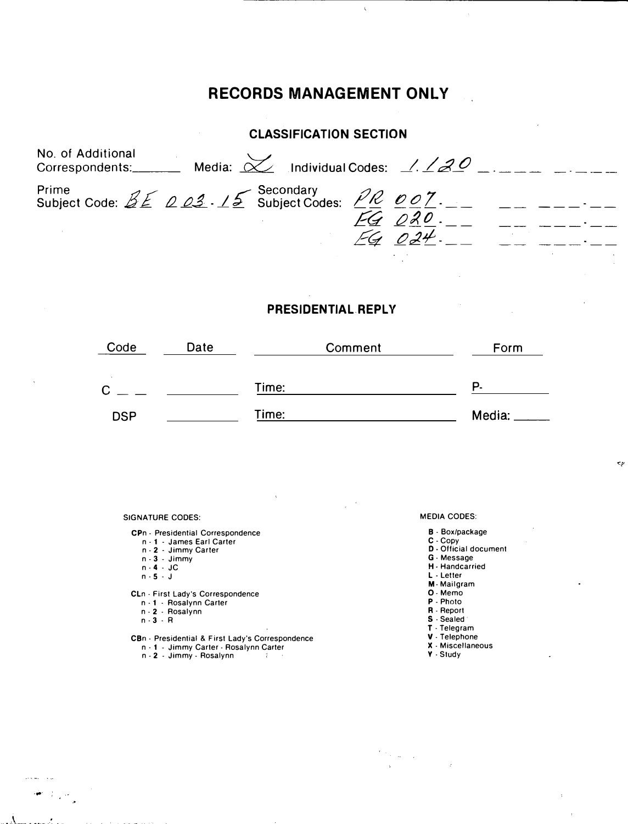## RECORDS MANAGEMENT ONLY

 $\overline{\mathbf{r}}$ 

| <b>CLASSIFICATION SECTION</b>                                                                            |                    |  |  |  |  |  |  |
|----------------------------------------------------------------------------------------------------------|--------------------|--|--|--|--|--|--|
| No. of Additional<br>No. of Additional<br>Correspondents:_________ Media: $\chi$ Individual Codes: 1.120 |                    |  |  |  |  |  |  |
| Prime<br>Subject Code: $B \not\subseteq B$ 02. 15 Subject Codes: $\angle R$ 007.                         | FG 020<br>$FG$ 024 |  |  |  |  |  |  |

#### PRESIDENTIAL REPLY

| Code       | Date | Comment | Form          |
|------------|------|---------|---------------|
| ◠<br>ັ     |      | Time:   | P.            |
| <b>DSP</b> |      | Time:   | Media: $\_\_$ |

SIGNATURE CODES:

- CPn Presidential Correspondence
	- n 1 James Earl Carter
	- n- 2 Jimmy Carter n- 3 Jimmy
	-
	- n 4 JC<br>n 5 J
	-
- CLn First Lady's Correspondence
	- n 1 · Rosalynn Carter
	- n . 2 . Rosalynn
	- n · 3 · A

....

المحاسبة

لياء أأتلوهم

- CBn · Presidential & First Lady's Correspondence
	- n 1 Jimmy Carter Rosalynn Carter<br>n 2 Jimmy Rosalynn

MEDIA CODES:

- B · Box/package
- **C** Copy<br>**D** Official document

 $\mathbf{c}_P$ 

- 
- G ·Message
- H Handcarried L -Letter
- M- Mailgram
- 0- Memo
- P- Photo
- R. Report
- S Sealed
- T ·Telegram
- V . Telephone
- X . Miscellaneous
- Y ·Study

 $\frac{d}{dt} \log \frac{d}{dt} \log \frac{d}{dt}$ ŀ.